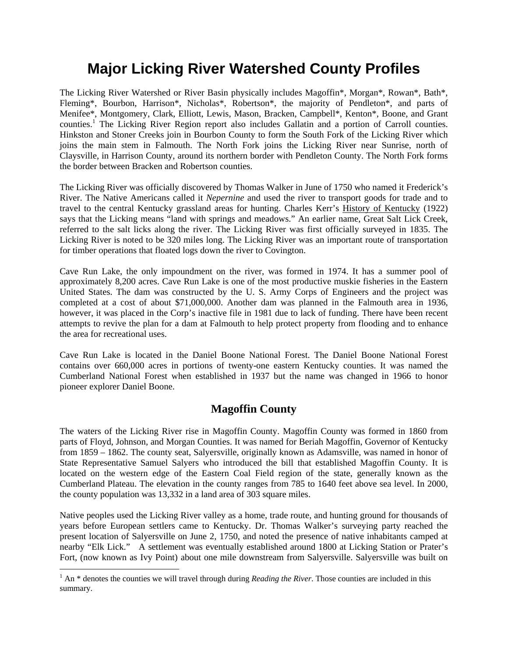# **Major Licking River Watershed County Profiles**

The Licking River Watershed or River Basin physically includes Magoffin\*, Morgan\*, Rowan\*, Bath\*, Fleming\*, Bourbon, Harrison\*, Nicholas\*, Robertson\*, the majority of Pendleton\*, and parts of Menifee\*, Montgomery, Clark, Elliott, Lewis, Mason, Bracken, Campbell\*, Kenton\*, Boone, and Grant counties.<sup>1</sup> The Licking River Region report also includes Gallatin and a portion of Carroll counties. Hinkston and Stoner Creeks join in Bourbon County to form the South Fork of the Licking River which joins the main stem in Falmouth. The North Fork joins the Licking River near Sunrise, north of Claysville, in Harrison County, around its northern border with Pendleton County. The North Fork forms the border between Bracken and Robertson counties.

The Licking River was officially discovered by Thomas Walker in June of 1750 who named it Frederick's River. The Native Americans called it *Nepernine* and used the river to transport goods for trade and to travel to the central Kentucky grassland areas for hunting. Charles Kerr's History of Kentucky (1922) says that the Licking means "land with springs and meadows." An earlier name, Great Salt Lick Creek, referred to the salt licks along the river. The Licking River was first officially surveyed in 1835. The Licking River is noted to be 320 miles long. The Licking River was an important route of transportation for timber operations that floated logs down the river to Covington.

Cave Run Lake, the only impoundment on the river, was formed in 1974. It has a summer pool of approximately 8,200 acres. Cave Run Lake is one of the most productive muskie fisheries in the Eastern United States. The dam was constructed by the U. S. Army Corps of Engineers and the project was completed at a cost of about \$71,000,000. Another dam was planned in the Falmouth area in 1936, however, it was placed in the Corp's inactive file in 1981 due to lack of funding. There have been recent attempts to revive the plan for a dam at Falmouth to help protect property from flooding and to enhance the area for recreational uses.

Cave Run Lake is located in the Daniel Boone National Forest. The Daniel Boone National Forest contains over 660,000 acres in portions of twenty-one eastern Kentucky counties. It was named the Cumberland National Forest when established in 1937 but the name was changed in 1966 to honor pioneer explorer Daniel Boone.

#### **Magoffin County**

The waters of the Licking River rise in Magoffin County. Magoffin County was formed in 1860 from parts of Floyd, Johnson, and Morgan Counties. It was named for Beriah Magoffin, Governor of Kentucky from 1859 – 1862. The county seat, Salyersville, originally known as Adamsville, was named in honor of State Representative Samuel Salyers who introduced the bill that established Magoffin County. It is located on the western edge of the Eastern Coal Field region of the state, generally known as the Cumberland Plateau. The elevation in the county ranges from 785 to 1640 feet above sea level. In 2000, the county population was 13,332 in a land area of 303 square miles.

Native peoples used the Licking River valley as a home, trade route, and hunting ground for thousands of years before European settlers came to Kentucky. Dr. Thomas Walker's surveying party reached the present location of Salyersville on June 2, 1750, and noted the presence of native inhabitants camped at nearby "Elk Lick." A settlement was eventually established around 1800 at Licking Station or Prater's Fort, (now known as Ivy Point) about one mile downstream from Salyersville. Salyersville was built on

<sup>&</sup>lt;sup>1</sup> An \* denotes the counties we will travel through during *Reading the River*. Those counties are included in this summary.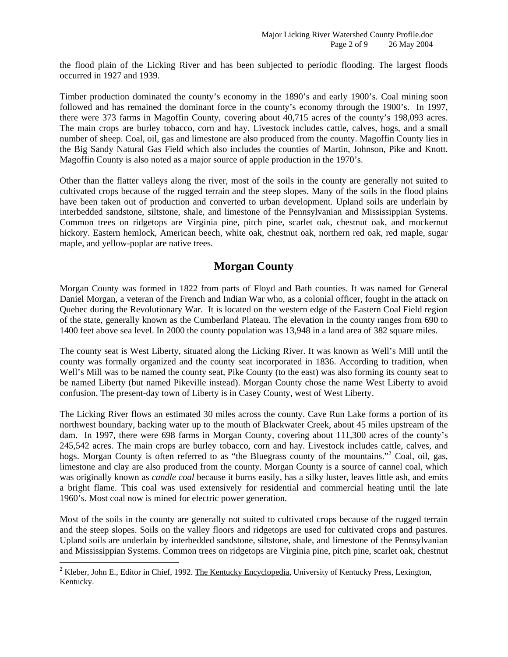the flood plain of the Licking River and has been subjected to periodic flooding. The largest floods occurred in 1927 and 1939.

Timber production dominated the county's economy in the 1890's and early 1900's. Coal mining soon followed and has remained the dominant force in the county's economy through the 1900's. In 1997, there were 373 farms in Magoffin County, covering about 40,715 acres of the county's 198,093 acres. The main crops are burley tobacco, corn and hay. Livestock includes cattle, calves, hogs, and a small number of sheep. Coal, oil, gas and limestone are also produced from the county. Magoffin County lies in the Big Sandy Natural Gas Field which also includes the counties of Martin, Johnson, Pike and Knott. Magoffin County is also noted as a major source of apple production in the 1970's.

Other than the flatter valleys along the river, most of the soils in the county are generally not suited to cultivated crops because of the rugged terrain and the steep slopes. Many of the soils in the flood plains have been taken out of production and converted to urban development. Upland soils are underlain by interbedded sandstone, siltstone, shale, and limestone of the Pennsylvanian and Mississippian Systems. Common trees on ridgetops are Virginia pine, pitch pine, scarlet oak, chestnut oak, and mockernut hickory. Eastern hemlock, American beech, white oak, chestnut oak, northern red oak, red maple, sugar maple, and yellow-poplar are native trees.

## **Morgan County**

Morgan County was formed in 1822 from parts of Floyd and Bath counties. It was named for General Daniel Morgan, a veteran of the French and Indian War who, as a colonial officer, fought in the attack on Quebec during the Revolutionary War. It is located on the western edge of the Eastern Coal Field region of the state, generally known as the Cumberland Plateau. The elevation in the county ranges from 690 to 1400 feet above sea level. In 2000 the county population was 13,948 in a land area of 382 square miles.

The county seat is West Liberty, situated along the Licking River. It was known as Well's Mill until the county was formally organized and the county seat incorporated in 1836. According to tradition, when Well's Mill was to be named the county seat, Pike County (to the east) was also forming its county seat to be named Liberty (but named Pikeville instead). Morgan County chose the name West Liberty to avoid confusion. The present-day town of Liberty is in Casey County, west of West Liberty.

The Licking River flows an estimated 30 miles across the county. Cave Run Lake forms a portion of its northwest boundary, backing water up to the mouth of Blackwater Creek, about 45 miles upstream of the dam. In 1997, there were 698 farms in Morgan County, covering about 111,300 acres of the county's 245,542 acres. The main crops are burley tobacco, corn and hay. Livestock includes cattle, calves, and hogs. Morgan County is often referred to as "the Bluegrass county of the mountains."<sup>2</sup> Coal, oil, gas, limestone and clay are also produced from the county. Morgan County is a source of cannel coal, which was originally known as *candle coal* because it burns easily, has a silky luster, leaves little ash, and emits a bright flame. This coal was used extensively for residential and commercial heating until the late 1960's. Most coal now is mined for electric power generation.

Most of the soils in the county are generally not suited to cultivated crops because of the rugged terrain and the steep slopes. Soils on the valley floors and ridgetops are used for cultivated crops and pastures. Upland soils are underlain by interbedded sandstone, siltstone, shale, and limestone of the Pennsylvanian and Mississippian Systems. Common trees on ridgetops are Virginia pine, pitch pine, scarlet oak, chestnut

<sup>&</sup>lt;sup>2</sup> Kleber, John E., Editor in Chief, 1992. The Kentucky Encyclopedia, University of Kentucky Press, Lexington, Kentucky.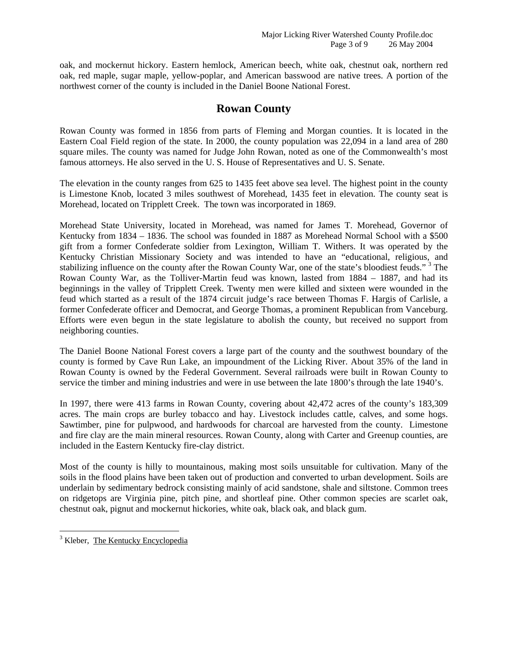oak, and mockernut hickory. Eastern hemlock, American beech, white oak, chestnut oak, northern red oak, red maple, sugar maple, yellow-poplar, and American basswood are native trees. A portion of the northwest corner of the county is included in the Daniel Boone National Forest.

#### **Rowan County**

Rowan County was formed in 1856 from parts of Fleming and Morgan counties. It is located in the Eastern Coal Field region of the state. In 2000, the county population was 22,094 in a land area of 280 square miles. The county was named for Judge John Rowan, noted as one of the Commonwealth's most famous attorneys. He also served in the U. S. House of Representatives and U. S. Senate.

The elevation in the county ranges from 625 to 1435 feet above sea level. The highest point in the county is Limestone Knob, located 3 miles southwest of Morehead, 1435 feet in elevation. The county seat is Morehead, located on Tripplett Creek. The town was incorporated in 1869.

Morehead State University, located in Morehead, was named for James T. Morehead, Governor of Kentucky from 1834 – 1836. The school was founded in 1887 as Morehead Normal School with a \$500 gift from a former Confederate soldier from Lexington, William T. Withers. It was operated by the Kentucky Christian Missionary Society and was intended to have an "educational, religious, and stabilizing influence on the county after the Rowan County War, one of the state's bloodiest feuds."<sup>3</sup> The Rowan County War, as the Tolliver-Martin feud was known, lasted from 1884 – 1887, and had its beginnings in the valley of Tripplett Creek. Twenty men were killed and sixteen were wounded in the feud which started as a result of the 1874 circuit judge's race between Thomas F. Hargis of Carlisle, a former Confederate officer and Democrat, and George Thomas, a prominent Republican from Vanceburg. Efforts were even begun in the state legislature to abolish the county, but received no support from neighboring counties.

The Daniel Boone National Forest covers a large part of the county and the southwest boundary of the county is formed by Cave Run Lake, an impoundment of the Licking River. About 35% of the land in Rowan County is owned by the Federal Government. Several railroads were built in Rowan County to service the timber and mining industries and were in use between the late 1800's through the late 1940's.

In 1997, there were 413 farms in Rowan County, covering about 42,472 acres of the county's 183,309 acres. The main crops are burley tobacco and hay. Livestock includes cattle, calves, and some hogs. Sawtimber, pine for pulpwood, and hardwoods for charcoal are harvested from the county. Limestone and fire clay are the main mineral resources. Rowan County, along with Carter and Greenup counties, are included in the Eastern Kentucky fire-clay district.

Most of the county is hilly to mountainous, making most soils unsuitable for cultivation. Many of the soils in the flood plains have been taken out of production and converted to urban development. Soils are underlain by sedimentary bedrock consisting mainly of acid sandstone, shale and siltstone. Common trees on ridgetops are Virginia pine, pitch pine, and shortleaf pine. Other common species are scarlet oak, chestnut oak, pignut and mockernut hickories, white oak, black oak, and black gum.

<sup>&</sup>lt;sup>3</sup> Kleber, The Kentucky Encyclopedia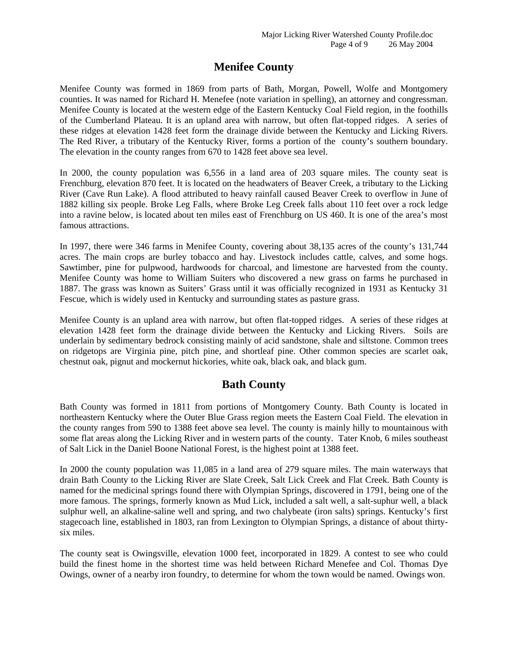# **Menifee County**

Menifee County was formed in 1869 from parts of Bath, Morgan, Powell, Wolfe and Montgomery counties. It was named for Richard H. Menefee (note variation in spelling), an attorney and congressman. Menifee County is located at the western edge of the Eastern Kentucky Coal Field region, in the foothills of the Cumberland Plateau. It is an upland area with narrow, but often flat-topped ridges. A series of these ridges at elevation 1428 feet form the drainage divide between the Kentucky and Licking Rivers. The Red River, a tributary of the Kentucky River, forms a portion of the county's southern boundary. The elevation in the county ranges from 670 to 1428 feet above sea level.

In 2000, the county population was 6,556 in a land area of 203 square miles. The county seat is Frenchburg, elevation 870 feet. It is located on the headwaters of Beaver Creek, a tributary to the Licking River (Cave Run Lake). A flood attributed to heavy rainfall caused Beaver Creek to overflow in June of 1882 killing six people. Broke Leg Falls, where Broke Leg Creek falls about 110 feet over a rock ledge into a ravine below, is located about ten miles east of Frenchburg on US 460. It is one of the area's most famous attractions.

In 1997, there were 346 farms in Menifee County, covering about 38,135 acres of the county's 131,744 acres. The main crops are burley tobacco and hay. Livestock includes cattle, calves, and some hogs. Sawtimber, pine for pulpwood, hardwoods for charcoal, and limestone are harvested from the county. Menifee County was home to William Suiters who discovered a new grass on farms he purchased in 1887. The grass was known as Suiters' Grass until it was officially recognized in 1931 as Kentucky 31 Fescue, which is widely used in Kentucky and surrounding states as pasture grass.

Menifee County is an upland area with narrow, but often flat-topped ridges. A series of these ridges at elevation 1428 feet form the drainage divide between the Kentucky and Licking Rivers. Soils are underlain by sedimentary bedrock consisting mainly of acid sandstone, shale and siltstone. Common trees on ridgetops are Virginia pine, pitch pine, and shortleaf pine. Other common species are scarlet oak, chestnut oak, pignut and mockernut hickories, white oak, black oak, and black gum.

# **Bath County**

Bath County was formed in 1811 from portions of Montgomery County. Bath County is located in northeastern Kentucky where the Outer Blue Grass region meets the Eastern Coal Field. The elevation in the county ranges from 590 to 1388 feet above sea level. The county is mainly hilly to mountainous with some flat areas along the Licking River and in western parts of the county. Tater Knob, 6 miles southeast of Salt Lick in the Daniel Boone National Forest, is the highest point at 1388 feet.

In 2000 the county population was 11,085 in a land area of 279 square miles. The main waterways that drain Bath County to the Licking River are Slate Creek, Salt Lick Creek and Flat Creek. Bath County is named for the medicinal springs found there with Olympian Springs, discovered in 1791, being one of the more famous. The springs, formerly known as Mud Lick, included a salt well, a salt-suphur well, a black sulphur well, an alkaline-saline well and spring, and two chalybeate (iron salts) springs. Kentucky's first stagecoach line, established in 1803, ran from Lexington to Olympian Springs, a distance of about thirtysix miles.

The county seat is Owingsville, elevation 1000 feet, incorporated in 1829. A contest to see who could build the finest home in the shortest time was held between Richard Menefee and Col. Thomas Dye Owings, owner of a nearby iron foundry, to determine for whom the town would be named. Owings won.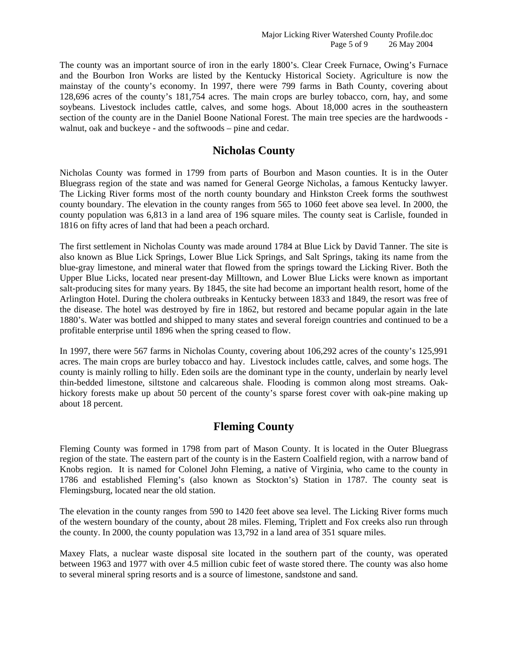The county was an important source of iron in the early 1800's. Clear Creek Furnace, Owing's Furnace and the Bourbon Iron Works are listed by the Kentucky Historical Society. Agriculture is now the mainstay of the county's economy. In 1997, there were 799 farms in Bath County, covering about 128,696 acres of the county's 181,754 acres. The main crops are burley tobacco, corn, hay, and some soybeans. Livestock includes cattle, calves, and some hogs. About 18,000 acres in the southeastern section of the county are in the Daniel Boone National Forest. The main tree species are the hardwoods walnut, oak and buckeye - and the softwoods – pine and cedar.

#### **Nicholas County**

Nicholas County was formed in 1799 from parts of Bourbon and Mason counties. It is in the Outer Bluegrass region of the state and was named for General George Nicholas, a famous Kentucky lawyer. The Licking River forms most of the north county boundary and Hinkston Creek forms the southwest county boundary. The elevation in the county ranges from 565 to 1060 feet above sea level. In 2000, the county population was 6,813 in a land area of 196 square miles. The county seat is Carlisle, founded in 1816 on fifty acres of land that had been a peach orchard.

The first settlement in Nicholas County was made around 1784 at Blue Lick by David Tanner. The site is also known as Blue Lick Springs, Lower Blue Lick Springs, and Salt Springs, taking its name from the blue-gray limestone, and mineral water that flowed from the springs toward the Licking River. Both the Upper Blue Licks, located near present-day Milltown, and Lower Blue Licks were known as important salt-producing sites for many years. By 1845, the site had become an important health resort, home of the Arlington Hotel. During the cholera outbreaks in Kentucky between 1833 and 1849, the resort was free of the disease. The hotel was destroyed by fire in 1862, but restored and became popular again in the late 1880's. Water was bottled and shipped to many states and several foreign countries and continued to be a profitable enterprise until 1896 when the spring ceased to flow.

In 1997, there were 567 farms in Nicholas County, covering about 106,292 acres of the county's 125,991 acres. The main crops are burley tobacco and hay. Livestock includes cattle, calves, and some hogs. The county is mainly rolling to hilly. Eden soils are the dominant type in the county, underlain by nearly level thin-bedded limestone, siltstone and calcareous shale. Flooding is common along most streams. Oakhickory forests make up about 50 percent of the county's sparse forest cover with oak-pine making up about 18 percent.

# **Fleming County**

Fleming County was formed in 1798 from part of Mason County. It is located in the Outer Bluegrass region of the state. The eastern part of the county is in the Eastern Coalfield region, with a narrow band of Knobs region. It is named for Colonel John Fleming, a native of Virginia, who came to the county in 1786 and established Fleming's (also known as Stockton's) Station in 1787. The county seat is Flemingsburg, located near the old station.

The elevation in the county ranges from 590 to 1420 feet above sea level. The Licking River forms much of the western boundary of the county, about 28 miles. Fleming, Triplett and Fox creeks also run through the county. In 2000, the county population was 13,792 in a land area of 351 square miles.

Maxey Flats, a nuclear waste disposal site located in the southern part of the county, was operated between 1963 and 1977 with over 4.5 million cubic feet of waste stored there. The county was also home to several mineral spring resorts and is a source of limestone, sandstone and sand.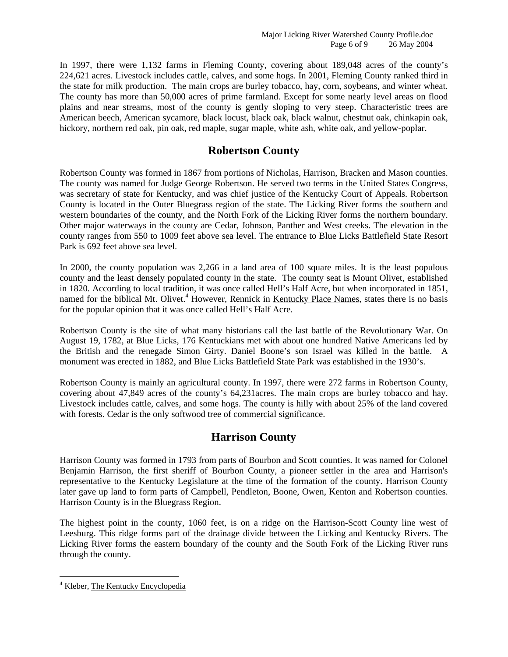In 1997, there were 1,132 farms in Fleming County, covering about 189,048 acres of the county's 224,621 acres. Livestock includes cattle, calves, and some hogs. In 2001, Fleming County ranked third in the state for milk production. The main crops are burley tobacco, hay, corn, soybeans, and winter wheat. The county has more than 50,000 acres of prime farmland. Except for some nearly level areas on flood plains and near streams, most of the county is gently sloping to very steep. Characteristic trees are American beech, American sycamore, black locust, black oak, black walnut, chestnut oak, chinkapin oak, hickory, northern red oak, pin oak, red maple, sugar maple, white ash, white oak, and yellow-poplar.

#### **Robertson County**

Robertson County was formed in 1867 from portions of Nicholas, Harrison, Bracken and Mason counties. The county was named for Judge George Robertson. He served two terms in the United States Congress, was secretary of state for Kentucky, and was chief justice of the Kentucky Court of Appeals. Robertson County is located in the Outer Bluegrass region of the state. The Licking River forms the southern and western boundaries of the county, and the North Fork of the Licking River forms the northern boundary. Other major waterways in the county are Cedar, Johnson, Panther and West creeks. The elevation in the county ranges from 550 to 1009 feet above sea level. The entrance to Blue Licks Battlefield State Resort Park is 692 feet above sea level.

In 2000, the county population was 2,266 in a land area of 100 square miles. It is the least populous county and the least densely populated county in the state. The county seat is Mount Olivet, established in 1820. According to local tradition, it was once called Hell's Half Acre, but when incorporated in 1851, named for the biblical Mt. Olivet.<sup>4</sup> However, Rennick in Kentucky Place Names, states there is no basis for the popular opinion that it was once called Hell's Half Acre.

Robertson County is the site of what many historians call the last battle of the Revolutionary War. On August 19, 1782, at Blue Licks, 176 Kentuckians met with about one hundred Native Americans led by the British and the renegade Simon Girty. Daniel Boone's son Israel was killed in the battle. A monument was erected in 1882, and Blue Licks Battlefield State Park was established in the 1930's.

Robertson County is mainly an agricultural county. In 1997, there were 272 farms in Robertson County, covering about 47,849 acres of the county's 64,231acres. The main crops are burley tobacco and hay. Livestock includes cattle, calves, and some hogs. The county is hilly with about 25% of the land covered with forests. Cedar is the only softwood tree of commercial significance.

#### **Harrison County**

Harrison County was formed in 1793 from parts of Bourbon and Scott counties. It was named for Colonel Benjamin Harrison, the first sheriff of Bourbon County, a pioneer settler in the area and Harrison's representative to the Kentucky Legislature at the time of the formation of the county. Harrison County later gave up land to form parts of Campbell, Pendleton, Boone, Owen, Kenton and Robertson counties. Harrison County is in the Bluegrass Region.

The highest point in the county, 1060 feet, is on a ridge on the Harrison-Scott County line west of Leesburg. This ridge forms part of the drainage divide between the Licking and Kentucky Rivers. The Licking River forms the eastern boundary of the county and the South Fork of the Licking River runs through the county.

<sup>&</sup>lt;sup>4</sup> Kleber, The Kentucky Encyclopedia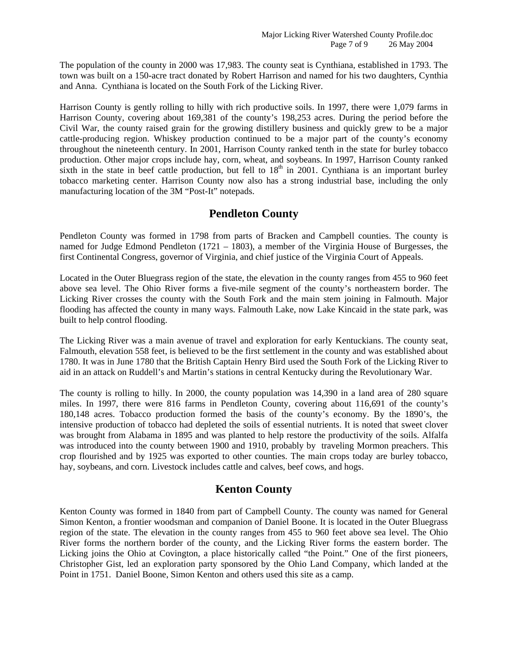The population of the county in 2000 was 17,983. The county seat is Cynthiana, established in 1793. The town was built on a 150-acre tract donated by Robert Harrison and named for his two daughters, Cynthia and Anna. Cynthiana is located on the South Fork of the Licking River.

Harrison County is gently rolling to hilly with rich productive soils. In 1997, there were 1,079 farms in Harrison County, covering about 169,381 of the county's 198,253 acres. During the period before the Civil War, the county raised grain for the growing distillery business and quickly grew to be a major cattle-producing region. Whiskey production continued to be a major part of the county's economy throughout the nineteenth century. In 2001, Harrison County ranked tenth in the state for burley tobacco production. Other major crops include hay, corn, wheat, and soybeans. In 1997, Harrison County ranked sixth in the state in beef cattle production, but fell to  $18<sup>th</sup>$  in 2001. Cynthiana is an important burley tobacco marketing center. Harrison County now also has a strong industrial base, including the only manufacturing location of the 3M "Post-It" notepads.

#### **Pendleton County**

Pendleton County was formed in 1798 from parts of Bracken and Campbell counties. The county is named for Judge Edmond Pendleton (1721 – 1803), a member of the Virginia House of Burgesses, the first Continental Congress, governor of Virginia, and chief justice of the Virginia Court of Appeals.

Located in the Outer Bluegrass region of the state, the elevation in the county ranges from 455 to 960 feet above sea level. The Ohio River forms a five-mile segment of the county's northeastern border. The Licking River crosses the county with the South Fork and the main stem joining in Falmouth. Major flooding has affected the county in many ways. Falmouth Lake, now Lake Kincaid in the state park, was built to help control flooding.

The Licking River was a main avenue of travel and exploration for early Kentuckians. The county seat, Falmouth, elevation 558 feet, is believed to be the first settlement in the county and was established about 1780. It was in June 1780 that the British Captain Henry Bird used the South Fork of the Licking River to aid in an attack on Ruddell's and Martin's stations in central Kentucky during the Revolutionary War.

The county is rolling to hilly. In 2000, the county population was 14,390 in a land area of 280 square miles. In 1997, there were 816 farms in Pendleton County, covering about 116,691 of the county's 180,148 acres. Tobacco production formed the basis of the county's economy. By the 1890's, the intensive production of tobacco had depleted the soils of essential nutrients. It is noted that sweet clover was brought from Alabama in 1895 and was planted to help restore the productivity of the soils. Alfalfa was introduced into the county between 1900 and 1910, probably by traveling Mormon preachers. This crop flourished and by 1925 was exported to other counties. The main crops today are burley tobacco, hay, soybeans, and corn. Livestock includes cattle and calves, beef cows, and hogs.

# **Kenton County**

Kenton County was formed in 1840 from part of Campbell County. The county was named for General Simon Kenton, a frontier woodsman and companion of Daniel Boone. It is located in the Outer Bluegrass region of the state. The elevation in the county ranges from 455 to 960 feet above sea level. The Ohio River forms the northern border of the county, and the Licking River forms the eastern border. The Licking joins the Ohio at Covington, a place historically called "the Point." One of the first pioneers, Christopher Gist, led an exploration party sponsored by the Ohio Land Company, which landed at the Point in 1751. Daniel Boone, Simon Kenton and others used this site as a camp.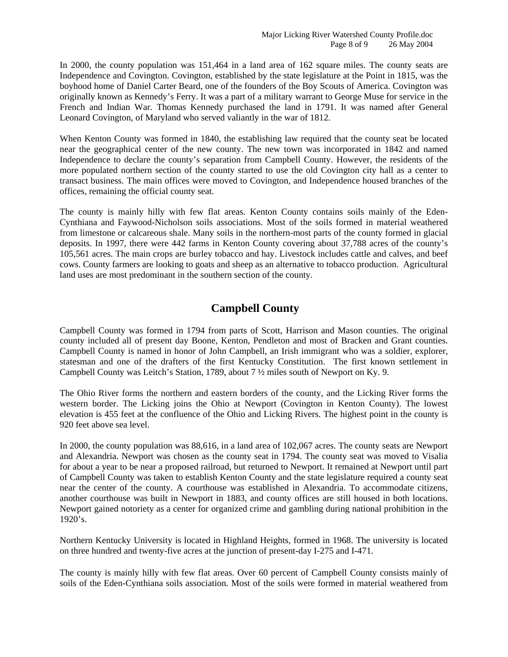In 2000, the county population was 151,464 in a land area of 162 square miles. The county seats are Independence and Covington. Covington, established by the state legislature at the Point in 1815, was the boyhood home of Daniel Carter Beard, one of the founders of the Boy Scouts of America. Covington was originally known as Kennedy's Ferry. It was a part of a military warrant to George Muse for service in the French and Indian War. Thomas Kennedy purchased the land in 1791. It was named after General Leonard Covington, of Maryland who served valiantly in the war of 1812.

When Kenton County was formed in 1840, the establishing law required that the county seat be located near the geographical center of the new county. The new town was incorporated in 1842 and named Independence to declare the county's separation from Campbell County. However, the residents of the more populated northern section of the county started to use the old Covington city hall as a center to transact business. The main offices were moved to Covington, and Independence housed branches of the offices, remaining the official county seat.

The county is mainly hilly with few flat areas. Kenton County contains soils mainly of the Eden-Cynthiana and Faywood-Nicholson soils associations. Most of the soils formed in material weathered from limestone or calcareous shale. Many soils in the northern-most parts of the county formed in glacial deposits. In 1997, there were 442 farms in Kenton County covering about 37,788 acres of the county's 105,561 acres. The main crops are burley tobacco and hay. Livestock includes cattle and calves, and beef cows. County farmers are looking to goats and sheep as an alternative to tobacco production. Agricultural land uses are most predominant in the southern section of the county.

## **Campbell County**

Campbell County was formed in 1794 from parts of Scott, Harrison and Mason counties. The original county included all of present day Boone, Kenton, Pendleton and most of Bracken and Grant counties. Campbell County is named in honor of John Campbell, an Irish immigrant who was a soldier, explorer, statesman and one of the drafters of the first Kentucky Constitution. The first known settlement in Campbell County was Leitch's Station, 1789, about 7 ½ miles south of Newport on Ky. 9.

The Ohio River forms the northern and eastern borders of the county, and the Licking River forms the western border. The Licking joins the Ohio at Newport (Covington in Kenton County). The lowest elevation is 455 feet at the confluence of the Ohio and Licking Rivers. The highest point in the county is 920 feet above sea level.

In 2000, the county population was 88,616, in a land area of 102,067 acres. The county seats are Newport and Alexandria. Newport was chosen as the county seat in 1794. The county seat was moved to Visalia for about a year to be near a proposed railroad, but returned to Newport. It remained at Newport until part of Campbell County was taken to establish Kenton County and the state legislature required a county seat near the center of the county. A courthouse was established in Alexandria. To accommodate citizens, another courthouse was built in Newport in 1883, and county offices are still housed in both locations. Newport gained notoriety as a center for organized crime and gambling during national prohibition in the  $1920's.$ 

Northern Kentucky University is located in Highland Heights, formed in 1968. The university is located on three hundred and twenty-five acres at the junction of present-day I-275 and I-471.

The county is mainly hilly with few flat areas. Over 60 percent of Campbell County consists mainly of soils of the Eden-Cynthiana soils association. Most of the soils were formed in material weathered from